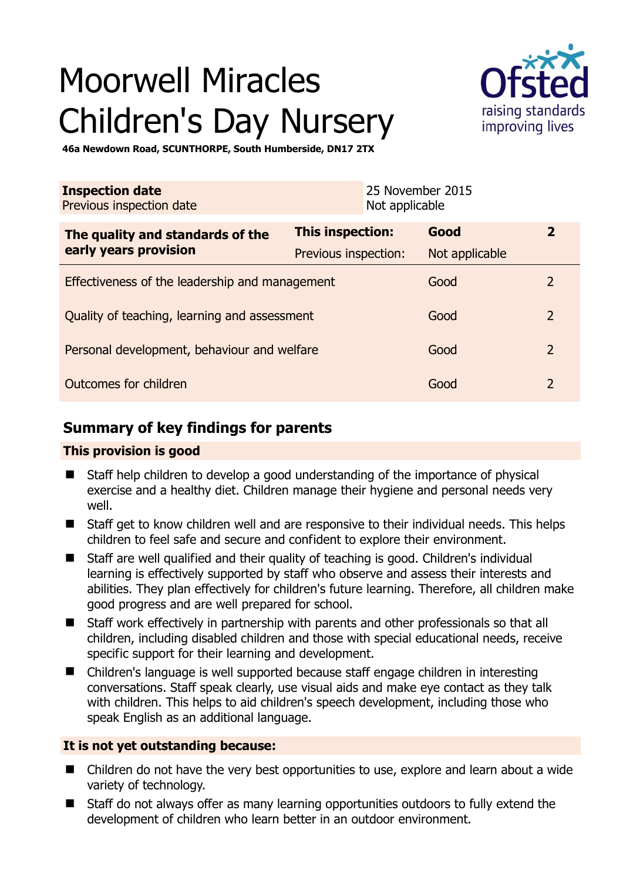# Moorwell Miracles Children's Day Nursery



**46a Newdown Road, SCUNTHORPE, South Humberside, DN17 2TX** 

| <b>Inspection date</b><br>Previous inspection date |                      | 25 November 2015<br>Not applicable |                |                |
|----------------------------------------------------|----------------------|------------------------------------|----------------|----------------|
| The quality and standards of the                   | This inspection:     |                                    | Good           | $\overline{2}$ |
| early years provision                              | Previous inspection: |                                    | Not applicable |                |
| Effectiveness of the leadership and management     |                      |                                    | Good           | $\overline{2}$ |
| Quality of teaching, learning and assessment       |                      |                                    | Good           | $\overline{2}$ |
| Personal development, behaviour and welfare        |                      |                                    | Good           | $\overline{2}$ |
| Outcomes for children                              |                      |                                    | Good           | $\overline{2}$ |

# **Summary of key findings for parents**

## **This provision is good**

- Staff help children to develop a good understanding of the importance of physical exercise and a healthy diet. Children manage their hygiene and personal needs very well.
- Staff get to know children well and are responsive to their individual needs. This helps children to feel safe and secure and confident to explore their environment.
- Staff are well qualified and their quality of teaching is good. Children's individual learning is effectively supported by staff who observe and assess their interests and abilities. They plan effectively for children's future learning. Therefore, all children make good progress and are well prepared for school.
- Staff work effectively in partnership with parents and other professionals so that all children, including disabled children and those with special educational needs, receive specific support for their learning and development.
- Children's language is well supported because staff engage children in interesting conversations. Staff speak clearly, use visual aids and make eye contact as they talk with children. This helps to aid children's speech development, including those who speak English as an additional language.

## **It is not yet outstanding because:**

- Children do not have the very best opportunities to use, explore and learn about a wide variety of technology.
- Staff do not always offer as many learning opportunities outdoors to fully extend the development of children who learn better in an outdoor environment.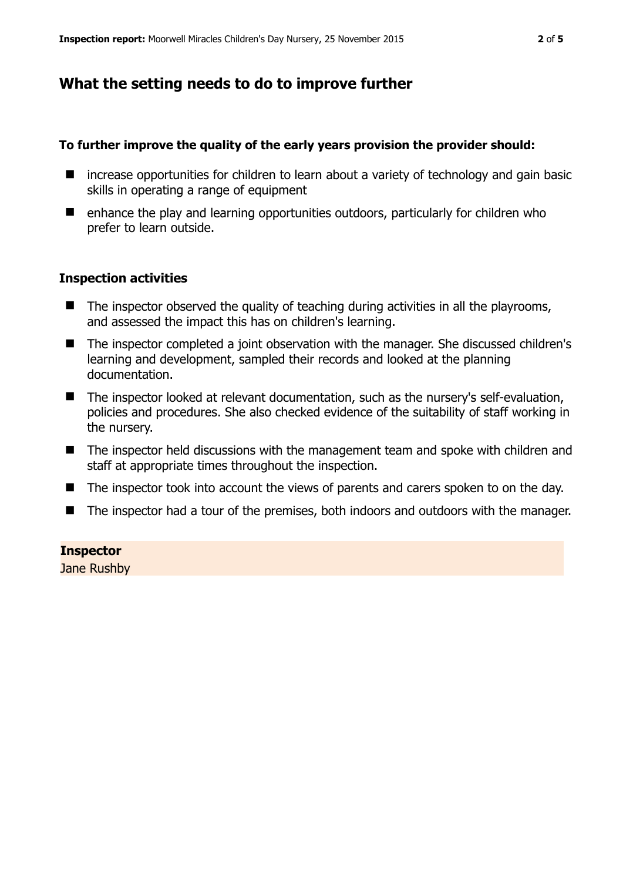# **What the setting needs to do to improve further**

#### **To further improve the quality of the early years provision the provider should:**

- $\blacksquare$  increase opportunities for children to learn about a variety of technology and gain basic skills in operating a range of equipment
- $\blacksquare$  enhance the play and learning opportunities outdoors, particularly for children who prefer to learn outside.

#### **Inspection activities**

- $\blacksquare$  The inspector observed the quality of teaching during activities in all the playrooms, and assessed the impact this has on children's learning.
- The inspector completed a joint observation with the manager. She discussed children's learning and development, sampled their records and looked at the planning documentation.
- The inspector looked at relevant documentation, such as the nursery's self-evaluation, policies and procedures. She also checked evidence of the suitability of staff working in the nursery.
- The inspector held discussions with the management team and spoke with children and staff at appropriate times throughout the inspection.
- The inspector took into account the views of parents and carers spoken to on the day.
- The inspector had a tour of the premises, both indoors and outdoors with the manager.

#### **Inspector**

Jane Rushby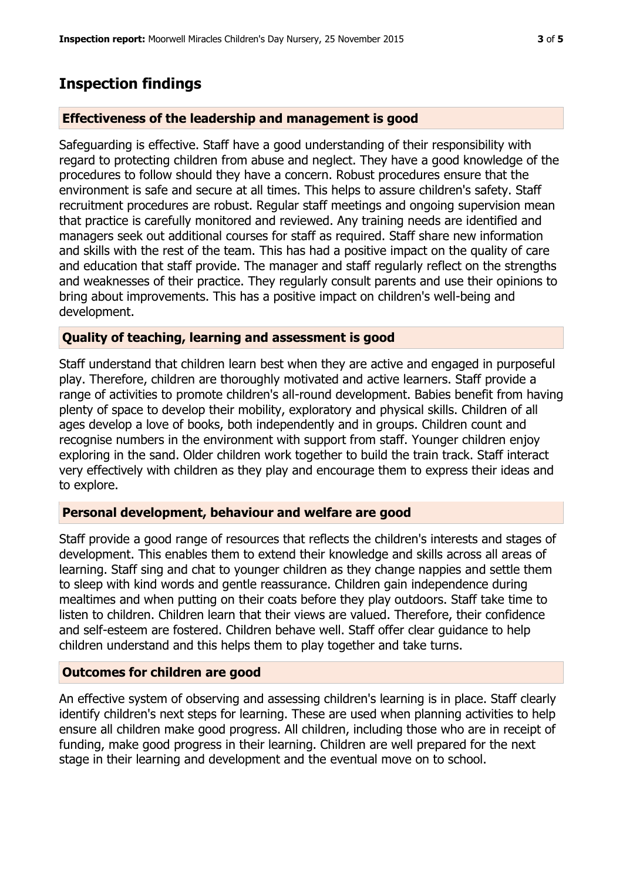# **Inspection findings**

### **Effectiveness of the leadership and management is good**

Safeguarding is effective. Staff have a good understanding of their responsibility with regard to protecting children from abuse and neglect. They have a good knowledge of the procedures to follow should they have a concern. Robust procedures ensure that the environment is safe and secure at all times. This helps to assure children's safety. Staff recruitment procedures are robust. Regular staff meetings and ongoing supervision mean that practice is carefully monitored and reviewed. Any training needs are identified and managers seek out additional courses for staff as required. Staff share new information and skills with the rest of the team. This has had a positive impact on the quality of care and education that staff provide. The manager and staff regularly reflect on the strengths and weaknesses of their practice. They regularly consult parents and use their opinions to bring about improvements. This has a positive impact on children's well-being and development.

#### **Quality of teaching, learning and assessment is good**

Staff understand that children learn best when they are active and engaged in purposeful play. Therefore, children are thoroughly motivated and active learners. Staff provide a range of activities to promote children's all-round development. Babies benefit from having plenty of space to develop their mobility, exploratory and physical skills. Children of all ages develop a love of books, both independently and in groups. Children count and recognise numbers in the environment with support from staff. Younger children enjoy exploring in the sand. Older children work together to build the train track. Staff interact very effectively with children as they play and encourage them to express their ideas and to explore.

## **Personal development, behaviour and welfare are good**

Staff provide a good range of resources that reflects the children's interests and stages of development. This enables them to extend their knowledge and skills across all areas of learning. Staff sing and chat to younger children as they change nappies and settle them to sleep with kind words and gentle reassurance. Children gain independence during mealtimes and when putting on their coats before they play outdoors. Staff take time to listen to children. Children learn that their views are valued. Therefore, their confidence and self-esteem are fostered. Children behave well. Staff offer clear guidance to help children understand and this helps them to play together and take turns.

## **Outcomes for children are good**

An effective system of observing and assessing children's learning is in place. Staff clearly identify children's next steps for learning. These are used when planning activities to help ensure all children make good progress. All children, including those who are in receipt of funding, make good progress in their learning. Children are well prepared for the next stage in their learning and development and the eventual move on to school.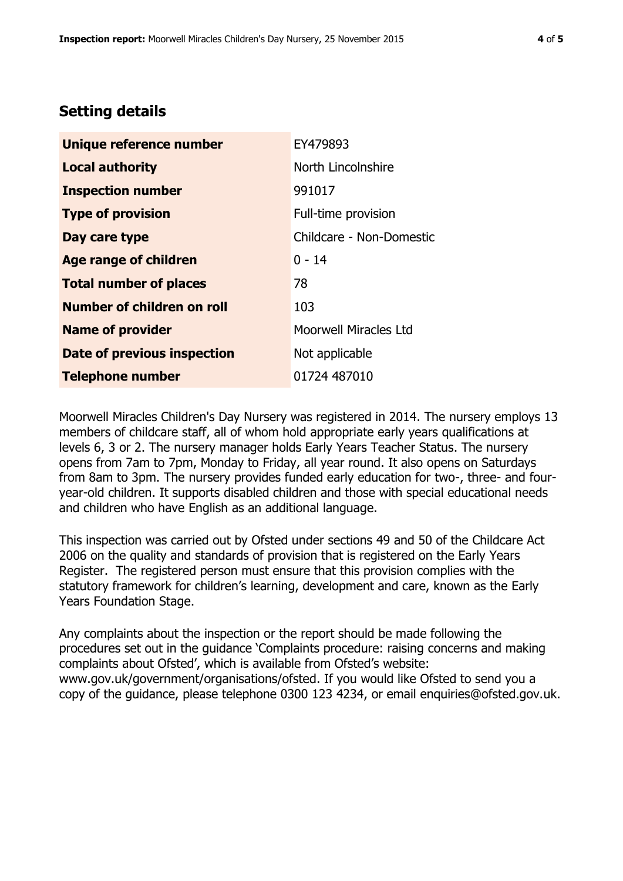# **Setting details**

| Unique reference number       | EY479893                 |  |
|-------------------------------|--------------------------|--|
| <b>Local authority</b>        | North Lincolnshire       |  |
| <b>Inspection number</b>      | 991017                   |  |
| <b>Type of provision</b>      | Full-time provision      |  |
| Day care type                 | Childcare - Non-Domestic |  |
| <b>Age range of children</b>  | $0 - 14$                 |  |
| <b>Total number of places</b> | 78                       |  |
| Number of children on roll    | 103                      |  |
| <b>Name of provider</b>       | Moorwell Miracles Ltd    |  |
| Date of previous inspection   | Not applicable           |  |
| <b>Telephone number</b>       | 01724 487010             |  |

Moorwell Miracles Children's Day Nursery was registered in 2014. The nursery employs 13 members of childcare staff, all of whom hold appropriate early years qualifications at levels 6, 3 or 2. The nursery manager holds Early Years Teacher Status. The nursery opens from 7am to 7pm, Monday to Friday, all year round. It also opens on Saturdays from 8am to 3pm. The nursery provides funded early education for two-, three- and fouryear-old children. It supports disabled children and those with special educational needs and children who have English as an additional language.

This inspection was carried out by Ofsted under sections 49 and 50 of the Childcare Act 2006 on the quality and standards of provision that is registered on the Early Years Register. The registered person must ensure that this provision complies with the statutory framework for children's learning, development and care, known as the Early Years Foundation Stage.

Any complaints about the inspection or the report should be made following the procedures set out in the guidance 'Complaints procedure: raising concerns and making complaints about Ofsted', which is available from Ofsted's website: www.gov.uk/government/organisations/ofsted. If you would like Ofsted to send you a copy of the guidance, please telephone 0300 123 4234, or email enquiries@ofsted.gov.uk.